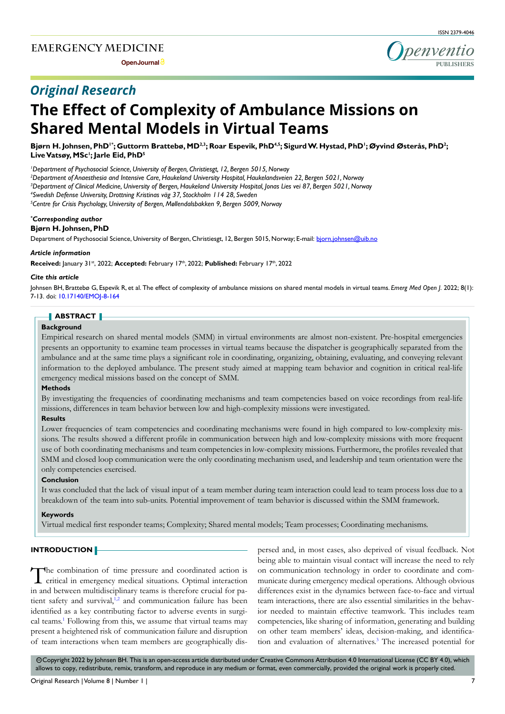**Open Journal**

# *Original Research*



Bjørn H. Johnsen, PhD'\*; Guttorm Brattebø, MD<sup>2,3</sup>; Roar Espevik, PhD<sup>4,5</sup>; Sigurd W. Hystad, PhD<sup>1</sup>; Øyvind Østerås, PhD<sup>2</sup>; **Live Vatsøy, MSc1 ; Jarle Eid, PhD5**

*1 Department of Psychosocial Science, University of Bergen, Christiesgt, 12, Bergen 5015, Norway*

*2 Department of Anaesthesia and Intensive Care, Haukeland University Hospital, Haukelandsveien 22, Bergen 5021, Norway*

*3 Department of Clinical Medicine, University of Bergen, Haukeland University Hospital, Jonas Lies vei 87, Bergen 5021, Norway*

*4 Swedish Defense University, Drottning Kristinas väg 37, Stockholm 114 28, Sweden*

*5 Centre for Crisis Psychology, University of Bergen, Møllendalsbakken 9, Bergen 5009, Norway*

# *\* Corresponding author*

**Bjørn H. Johnsen, PhD**

Department of Psychosocial Science, University of Bergen, Christiesgt, 12, Bergen 5015, Norway; E-mail: bjorn.johnsen@uib.no

#### *Article information*

Received: January 31st, 2022; Accepted: February 17th, 2022; Published: February 17th, 2022

#### *Cite this article*

Johnsen BH, Brattebø G, Espevik R, et al. The effect of complexity of ambulance missions on shared mental models in virtual teams. *Emerg Med Open J*. 2022; 8(1): 7-13. doi: [10.17140/EMOJ-8-164](http://dx.doi.org/10.17140/EMOJ-8-164)

#### **ABSTRACT**

#### **Background**

Empirical research on shared mental models (SMM) in virtual environments are almost non-existent. Pre-hospital emergencies presents an opportunity to examine team processes in virtual teams because the dispatcher is geographically separated from the ambulance and at the same time plays a significant role in coordinating, organizing, obtaining, evaluating, and conveying relevant information to the deployed ambulance. The present study aimed at mapping team behavior and cognition in critical real-life emergency medical missions based on the concept of SMM.

#### **Methods**

By investigating the frequencies of coordinating mechanisms and team competencies based on voice recordings from real-life missions, differences in team behavior between low and high-complexity missions were investigated.

#### **Results**

Lower frequencies of team competencies and coordinating mechanisms were found in high compared to low-complexity missions. The results showed a different profile in communication between high and low-complexity missions with more frequent use of both coordinating mechanisms and team competencies in low-complexity missions. Furthermore, the profiles revealed that SMM and closed loop communication were the only coordinating mechanism used, and leadership and team orientation were the only competencies exercised.

#### **Conclusion**

It was concluded that the lack of visual input of a team member during team interaction could lead to team process loss due to a breakdown of the team into sub-units. Potential improvement of team behavior is discussed within the SMM framework.

#### **Keywords**

Virtual medical first responder teams; Complexity; Shared mental models; Team processes; Coordinating mechanisms.

#### **INTRODUCTION**

The combination of time pressure and coordinated action is critical in emergency medical situations. Optimal interaction in and between multidisciplinary teams is therefore crucial for patient safety and survival,<sup>1,2</sup> and communication failure has been identified as a key contributing factor to adverse events in surgi-cal teams.<sup>[1](#page-5-0)</sup> Following from this, we assume that virtual teams may present a heightened risk of communication failure and disruption of team interactions when team members are geographically dispersed and, in most cases, also deprived of visual feedback. Not being able to maintain visual contact will increase the need to rely on communication technology in order to coordinate and communicate during emergency medical operations. Although obvious differences exist in the dynamics between face-to-face and virtual team interactions, there are also essential similarities in the behavior needed to maintain effective teamwork. This includes team competencies, like sharing of information, generating and building on other team members' ideas, decision-making, and identifica-tion and evaluation of alternatives.<sup>[3](#page-5-1)</sup> The increased potential for

cc Copyright 2022 by Johnsen BH. This is an open-access article distributed under Creative Commons Attribution 4.0 International License ([CC BY 4.0](https://creativecommons.org/licenses/by/4.0/)), which allows to copy, redistribute, remix, transform, and reproduce in any medium or format, even commercially, provided the original work is properly cited.

**PUBLISHERS**

penvention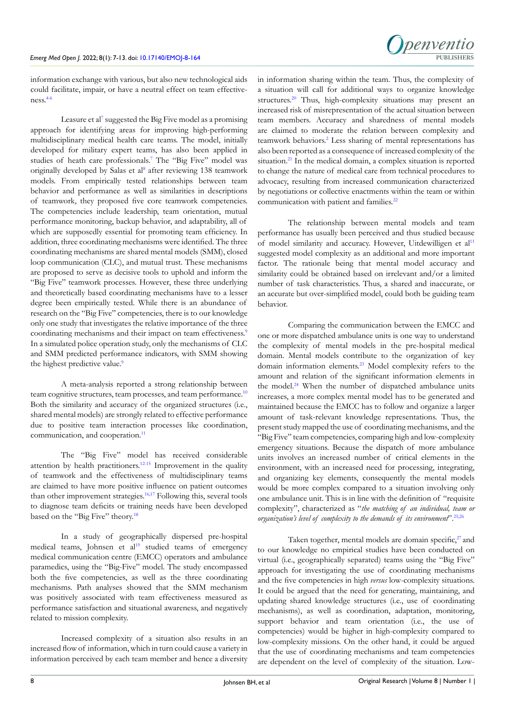

information exchange with various, but also new technological aids could facilitate, impair, or have a neutral effect on team effectiveness[.4-6](#page-5-2)

Leasure et al<sup>7</sup> suggested the Big Five model as a promising approach for identifying areas for improving high-performing multidisciplinary medical health care teams. The model, initially developed for military expert teams, has also been applied in studies of heath care professionals.<sup>7</sup> The "Big Five" model was originally developed by Salas et al<sup>[8](#page-5-4)</sup> after reviewing 138 teamwork models. From empirically tested relationships between team behavior and performance as well as similarities in descriptions of teamwork, they proposed five core teamwork competencies. The competencies include leadership, team orientation, mutual performance monitoring, backup behavior, and adaptability, all of which are supposedly essential for promoting team efficiency. In addition, three coordinating mechanisms were identified. The three coordinating mechanisms are shared mental models (SMM), closed loop communication (CLC), and mutual trust. These mechanisms are proposed to serve as decisive tools to uphold and inform the "Big Five" teamwork processes. However, these three underlying and theoretically based coordinating mechanisms have to a lesser degree been empirically tested. While there is an abundance of research on the "Big Five" competencies, there is to our knowledge only one study that investigates the relative importance of the three coordinating mechanisms and their impact on team effectiveness.<sup>9</sup> In a simulated police operation study, only the mechanisms of CLC and SMM predicted performance indicators, with SMM showing the highest predictive value.<sup>9</sup>

A meta-analysis reported a strong relationship between team cognitive structures, team processes, and team performance.<sup>[10](#page-5-6)</sup> Both the similarity and accuracy of the organized structures (i.e., shared mental models) are strongly related to effective performance due to positive team interaction processes like coordination, communication, and cooperation.<sup>[11](#page-5-7)</sup>

The "Big Five" model has received considerable attention by health practitioners.[12-15](#page-5-8) Improvement in the quality of teamwork and the effectiveness of multidisciplinary teams are claimed to have more positive influence on patient outcomes than other improvement strategies.[16,17](#page-6-0) Following this, several tools to diagnose team deficits or training needs have been developed based on the "Big Five" theory.<sup>[18](#page-6-1)</sup>

In a study of geographically dispersed pre-hospital medical teams, Johnsen et al<sup>[19](#page-6-2)</sup> studied teams of emergency medical communication centre (EMCC) operators and ambulance paramedics, using the "Big-Five" model. The study encompassed both the five competencies, as well as the three coordinating mechanisms. Path analyses showed that the SMM mechanism was positively associated with team effectiveness measured as performance satisfaction and situational awareness, and negatively related to mission complexity.

Increased complexity of a situation also results in an increased flow of information, which in turn could cause a variety in information perceived by each team member and hence a diversity in information sharing within the team. Thus, the complexity of a situation will call for additional ways to organize knowledge structures.<sup>[20](#page-6-3)</sup> Thus, high-complexity situations may present an increased risk of misrepresentation of the actual situation between team members. Accuracy and sharedness of mental models are claimed to moderate the relation between complexity and teamwork behaviors.<sup>[2](#page-5-9)</sup> Less sharing of mental representations has also been reported as a consequence of increased complexity of the situation.<sup>21</sup> In the medical domain, a complex situation is reported to change the nature of medical care from technical procedures to advocacy, resulting from increased communication characterized by negotiations or collective enactments within the team or within communication with patient and families.<sup>22</sup>

The relationship between mental models and team performance has usually been perceived and thus studied because of model similarity and accuracy. However, Uitdewilligen et al<sup>11</sup> suggested model complexity as an additional and more important factor. The rationale being that mental model accuracy and similarity could be obtained based on irrelevant and/or a limited number of task characteristics. Thus, a shared and inaccurate, or an accurate but over-simplified model, could both be guiding team behavior.

Comparing the communication between the EMCC and one or more dispatched ambulance units is one way to understand the complexity of mental models in the pre-hospital medical domain. Mental models contribute to the organization of key domain information elements.[23](#page-6-6) Model complexity refers to the amount and relation of the significant information elements in the model.<sup>[24](#page-6-7)</sup> When the number of dispatched ambulance units increases, a more complex mental model has to be generated and maintained because the EMCC has to follow and organize a larger amount of task-relevant knowledge representations. Thus, the present study mapped the use of coordinating mechanisms, and the "Big Five" team competencies, comparing high and low-complexity emergency situations. Because the dispatch of more ambulance units involves an increased number of critical elements in the environment, with an increased need for processing, integrating, and organizing key elements, consequently the mental models would be more complex compared to a situation involving only one ambulance unit. This is in line with the definition of "requisite complexity", characterized as "*the matching of an individual, team or organization's level of complexity to the demands of its environment*"[.25,26](#page-6-8)

Taken together, mental models are domain specific,<sup>27</sup> and to our knowledge no empirical studies have been conducted on virtual (i.e., geographically separated) teams using the "Big Five" approach for investigating the use of coordinating mechanisms and the five competencies in high *versus* low-complexity situations. It could be argued that the need for generating, maintaining, and updating shared knowledge structures (i.e., use of coordinating mechanisms), as well as coordination, adaptation, monitoring, support behavior and team orientation (i.e., the use of competencies) would be higher in high-complexity compared to low-complexity missions. On the other hand, it could be argued that the use of coordinating mechanisms and team competencies are dependent on the level of complexity of the situation. Low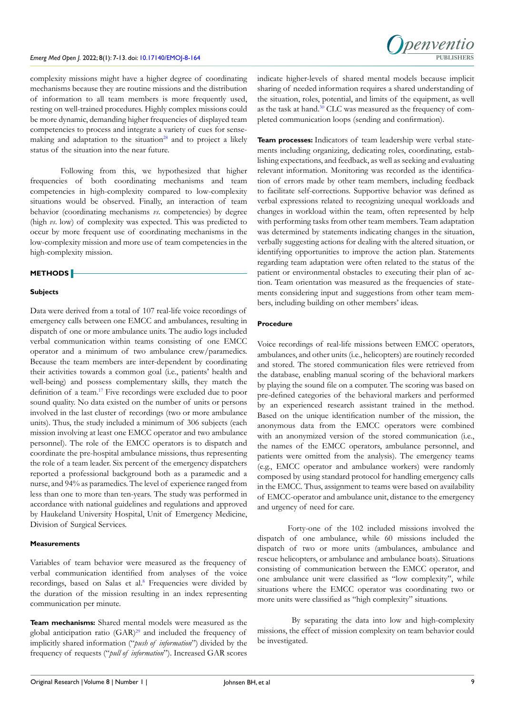complexity missions might have a higher degree of coordinating mechanisms because they are routine missions and the distribution of information to all team members is more frequently used, resting on well-trained procedures. Highly complex missions could be more dynamic, demanding higher frequencies of displayed team competencies to process and integrate a variety of cues for sensemaking and adaptation to the situation<sup>28</sup> and to project a likely status of the situation into the near future.

Following from this, we hypothesized that higher frequencies of both coordinating mechanisms and team competencies in high-complexity compared to low-complexity situations would be observed. Finally, an interaction of team behavior (coordinating mechanisms *vs*. competencies) by degree (high *vs*. low) of complexity was expected. This was predicted to occur by more frequent use of coordinating mechanisms in the low-complexity mission and more use of team competencies in the high-complexity mission.

# **METHODS**

#### **Subjects**

Data were derived from a total of 107 real-life voice recordings of emergency calls between one EMCC and ambulances, resulting in dispatch of one or more ambulance units. The audio logs included verbal communication within teams consisting of one EMCC operator and a minimum of two ambulance crew/paramedics. Because the team members are inter-dependent by coordinating their activities towards a common goal (i.e., patients' health and well-being) and possess complementary skills, they match the definition of a team.[17](#page-6-11) Five recordings were excluded due to poor sound quality. No data existed on the number of units or persons involved in the last cluster of recordings (two or more ambulance units). Thus, the study included a minimum of 306 subjects (each mission involving at least one EMCC operator and two ambulance personnel). The role of the EMCC operators is to dispatch and coordinate the pre-hospital ambulance missions, thus representing the role of a team leader. Six percent of the emergency dispatchers reported a professional background both as a paramedic and a nurse, and 94% as paramedics. The level of experience ranged from less than one to more than ten-years. The study was performed in accordance with national guidelines and regulations and approved by Haukeland University Hospital, Unit of Emergency Medicine, Division of Surgical Services.

#### **Measurements**

Variables of team behavior were measured as the frequency of verbal communication identified from analyses of the voice recordings, based on Salas et al.<sup>[8](#page-5-4)</sup> Frequencies were divided by the duration of the mission resulting in an index representing communication per minute.

**Team mechanisms:** Shared mental models were measured as the global anticipation ratio  $(GAR)^{29}$  $(GAR)^{29}$  $(GAR)^{29}$  and included the frequency of implicitly shared information ("*push of information*") divided by the frequency of requests ("*pull of information*"). Increased GAR scores

indicate higher-levels of shared mental models because implicit sharing of needed information requires a shared understanding of the situation, roles, potential, and limits of the equipment, as well as the task at hand.[30](#page-6-13) CLC was measured as the frequency of completed communication loops (sending and confirmation).

**PUBLISHERS**

**I** penventic

**Team processes:** Indicators of team leadership were verbal statements including organizing, dedicating roles, coordinating, establishing expectations, and feedback, as well as seeking and evaluating relevant information. Monitoring was recorded as the identification of errors made by other team members, including feedback to facilitate self-corrections. Supportive behavior was defined as verbal expressions related to recognizing unequal workloads and changes in workload within the team, often represented by help with performing tasks from other team members. Team adaptation was determined by statements indicating changes in the situation, verbally suggesting actions for dealing with the altered situation, or identifying opportunities to improve the action plan. Statements regarding team adaptation were often related to the status of the patient or environmental obstacles to executing their plan of action. Team orientation was measured as the frequencies of statements considering input and suggestions from other team members, including building on other members' ideas.

#### **Procedure**

Voice recordings of real-life missions between EMCC operators, ambulances, and other units (i.e., helicopters) are routinely recorded and stored. The stored communication files were retrieved from the database, enabling manual scoring of the behavioral markers by playing the sound file on a computer. The scoring was based on pre-defined categories of the behavioral markers and performed by an experienced research assistant trained in the method. Based on the unique identification number of the mission, the anonymous data from the EMCC operators were combined with an anonymized version of the stored communication (i.e., the names of the EMCC operators, ambulance personnel, and patients were omitted from the analysis). The emergency teams (e.g., EMCC operator and ambulance workers) were randomly composed by using standard protocol for handling emergency calls in the EMCC. Thus, assignment to teams were based on availability of EMCC-operator and ambulance unit, distance to the emergency and urgency of need for care.

Forty-one of the 102 included missions involved the dispatch of one ambulance, while 60 missions included the dispatch of two or more units (ambulances, ambulance and rescue helicopters, or ambulance and ambulance boats). Situations consisting of communication between the EMCC operator, and one ambulance unit were classified as "low complexity", while situations where the EMCC operator was coordinating two or more units were classified as "high complexity" situations.

 By separating the data into low and high-complexity missions, the effect of mission complexity on team behavior could be investigated.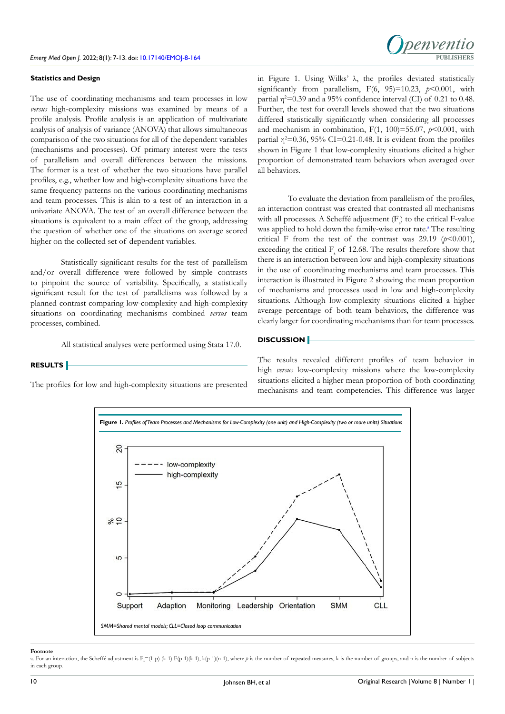

#### **Statistics and Design**

The use of coordinating mechanisms and team processes in low *versus* high-complexity missions was examined by means of a profile analysis. Profile analysis is an application of multivariate analysis of analysis of variance (ANOVA) that allows simultaneous comparison of the two situations for all of the dependent variables (mechanisms and processes). Of primary interest were the tests of parallelism and overall differences between the missions. The former is a test of whether the two situations have parallel profiles, e.g., whether low and high-complexity situations have the same frequency patterns on the various coordinating mechanisms and team processes. This is akin to a test of an interaction in a univariate ANOVA. The test of an overall difference between the situations is equivalent to a main effect of the group, addressing the question of whether one of the situations on average scored higher on the collected set of dependent variables.

Statistically significant results for the test of parallelism and/or overall difference were followed by simple contrasts to pinpoint the source of variability. Specifically, a statistically significant result for the test of parallelisms was followed by a planned contrast comparing low-complexity and high-complexity situations on coordinating mechanisms combined *versus* team processes, combined.

All statistical analyses were performed using Stata 17.0.

#### **RESULTS**

The profiles for low and high-complexity situations are presented

in Figure 1. Using Wilks' λ, the profiles deviated statistically significantly from parallelism,  $F(6, 95)=10.23$ ,  $p<0.001$ , with partial  $\eta^2$ =0.39 and a 95% confidence interval (CI) of 0.21 to 0.48. Further, the test for overall levels showed that the two situations differed statistically significantly when considering all processes and mechanism in combination,  $F(1, 100) = 55.07$ ,  $p < 0.001$ , with partial  $\eta^2$ =0.36, 95% CI=0.21-0.48. It is evident from the profiles shown in Figure 1 that low-complexity situations elicited a higher proportion of demonstrated team behaviors when averaged over all behaviors.

To evaluate the deviation from parallelism of the profiles, an interaction contrast was created that contrasted all mechanisms with all processes. A Scheffé adjustment  $(F)$  to the critical F-value w[a](#page-3-0)s applied to hold down the family-wise error rate.<sup>a</sup> The resulting critical F from the test of the contrast was  $29.19$  ( $p < 0.001$ ), exceeding the critical  $F_s$  of 12.68. The results therefore show that there is an interaction between low and high-complexity situations in the use of coordinating mechanisms and team processes. This interaction is illustrated in Figure 2 showing the mean proportion of mechanisms and processes used in low and high-complexity situations. Although low-complexity situations elicited a higher average percentage of both team behaviors, the difference was clearly larger for coordinating mechanisms than for team processes.

#### **DISCUSSION**

The results revealed different profiles of team behavior in high *versus* low-complexity missions where the low-complexity situations elicited a higher mean proportion of both coordinating mechanisms and team competencies. This difference was larger



#### **Footnote**

<span id="page-3-0"></span>a. For an interaction, the Scheffé adjustment is  $F_s = (1-p)$  (k-1)  $F(p-1)(k-1)$ ,  $k(p-1)(n-1)$ , where  $p$  is the number of repeated measures, k is the number of groups, and n is the number of subjects in each group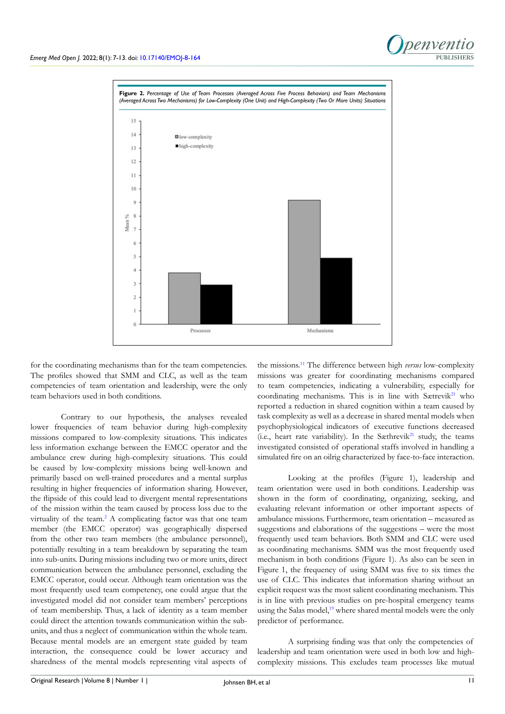

for the coordinating mechanisms than for the team competencies. The profiles showed that SMM and CLC, as well as the team competencies of team orientation and leadership, were the only team behaviors used in both conditions.

Contrary to our hypothesis, the analyses revealed lower frequencies of team behavior during high-complexity missions compared to low-complexity situations. This indicates less information exchange between the EMCC operator and the ambulance crew during high-complexity situations. This could be caused by low-complexity missions being well-known and primarily based on well-trained procedures and a mental surplus resulting in higher frequencies of information sharing. However, the flipside of this could lead to divergent mental representations of the mission within the team caused by process loss due to the virtuality of the team.<sup>[2](#page-5-9)</sup> A complicating factor was that one team member (the EMCC operator) was geographically dispersed from the other two team members (the ambulance personnel), potentially resulting in a team breakdown by separating the team into sub-units. During missions including two or more units, direct communication between the ambulance personnel, excluding the EMCC operator, could occur. Although team orientation was the most frequently used team competency, one could argue that the investigated model did not consider team members' perceptions of team membership. Thus, a lack of identity as a team member could direct the attention towards communication within the subunits, and thus a neglect of communication within the whole team. Because mental models are an emergent state guided by team interaction, the consequence could be lower accuracy and sharedness of the mental models representing vital aspects of

the missions.[11](#page-5-7) The difference between high *versus* low-complexity missions was greater for coordinating mechanisms compared to team competencies, indicating a vulnerability, especially for coordinating mechanisms. This is in line with Sætrevik<sup>[21](#page-6-4)</sup> who reported a reduction in shared cognition within a team caused by task complexity as well as a decrease in shared mental models when psychophysiological indicators of executive functions decreased (i.e., heart rate variability). In the Sæthrevik<sup>[21](#page-6-4)</sup> study, the teams investigated consisted of operational staffs involved in handling a simulated fire on an oilrig characterized by face-to-face interaction.

Looking at the profiles (Figure 1), leadership and team orientation were used in both conditions. Leadership was shown in the form of coordinating, organizing, seeking, and evaluating relevant information or other important aspects of ambulance missions. Furthermore, team orientation – measured as suggestions and elaborations of the suggestions – were the most frequently used team behaviors. Both SMM and CLC were used as coordinating mechanisms. SMM was the most frequently used mechanism in both conditions (Figure 1). As also can be seen in Figure 1, the frequency of using SMM was five to six times the use of CLC. This indicates that information sharing without an explicit request was the most salient coordinating mechanism. This is in line with previous studies on pre-hospital emergency teams using the Salas model,<sup>[19](#page-6-2)</sup> where shared mental models were the only predictor of performance.

A surprising finding was that only the competencies of leadership and team orientation were used in both low and highcomplexity missions. This excludes team processes like mutual

**PUBLISHERS**

*Denvent*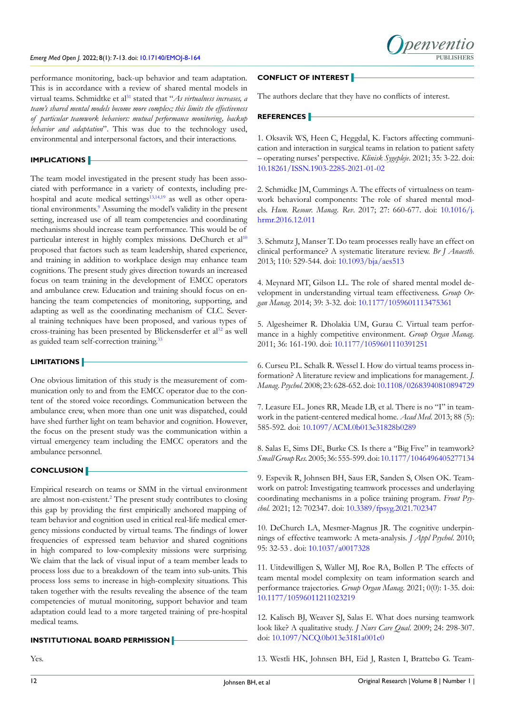#### *Emerg Med Open J.* 2022; 8(1): 7-13. doi: [10.17140/EMOJ-8-164](http://dx.doi.org/10.17140/EMOJ-8-164)

performance monitoring, back-up behavior and team adaptation. This is in accordance with a review of shared mental models in virtual teams. Schmidtke et al<sup>31</sup> stated that "*As virtualness increases, a team's shared mental models become more complex; this limits the effectiveness of particular teamwork behaviors: mutual performance monitoring, backup behavior and adaptation*". This was due to the technology used, environmental and interpersonal factors, and their interactions.

#### **IMPLICATIONS**

The team model investigated in the present study has been associated with performance in a variety of contexts, including pre-hospital and acute medical settings<sup>[13,14,](#page-5-10)[19](#page-6-2)</sup> as well as other operational environments.<sup>9</sup> Assuming the model's validity in the present setting, increased use of all team competencies and coordinating mechanisms should increase team performance. This would be of particular interest in highly complex missions. DeChurch et al<sup>[10](#page-5-6)</sup> proposed that factors such as team leadership, shared experience, and training in addition to workplace design may enhance team cognitions. The present study gives direction towards an increased focus on team training in the development of EMCC operators and ambulance crew. Education and training should focus on enhancing the team competencies of monitoring, supporting, and adapting as well as the coordinating mechanism of CLC. Several training techniques have been proposed, and various types of cross-training has been presented by Blickensderfer et al<sup>32</sup> as well as guided team self-correction training.<sup>33</sup>

### **LIMITATIONS**

One obvious limitation of this study is the measurement of communication only to and from the EMCC operator due to the content of the stored voice recordings. Communication between the ambulance crew, when more than one unit was dispatched, could have shed further light on team behavior and cognition. However, the focus on the present study was the communication within a virtual emergency team including the EMCC operators and the ambulance personnel.

#### **CONCLUSION**

Empirical research on teams or SMM in the virtual environment are almost non-existent.<sup>[2](#page-5-9)</sup> The present study contributes to closing this gap by providing the first empirically anchored mapping of team behavior and cognition used in critical real-life medical emergency missions conducted by virtual teams. The findings of lower frequencies of expressed team behavior and shared cognitions in high compared to low-complexity missions were surprising. We claim that the lack of visual input of a team member leads to process loss due to a breakdown of the team into sub-units. This process loss sems to increase in high-complexity situations. This taken together with the results revealing the absence of the team competencies of mutual monitoring, support behavior and team adaptation could lead to a more targeted training of pre-hospital medical teams.

### **INSTITUTIONAL BOARD PERMISSION**

Yes.

#### **CONFLICT OF INTEREST**

The authors declare that they have no conflicts of interest.

## **REFERENCES**

<span id="page-5-0"></span>1. Oksavik WS, Heen C, Heggdal, K. Factors affecting communication and interaction in surgical teams in relation to patient safety – operating nurses' perspective. *Klinisk Sygepleje*. 2021; 35: 3-22. doi: [10.18261/ISSN.1903-2285-2021-01-02](http://doi.org/
10.18261/ISSN.1903-2285-2021-01-02)

<span id="page-5-9"></span>2. Schmidke JM, Cummings A. The effects of virtualness on teamwork behavioral components: The role of shared mental models. *Hum. Resour. Manag. Rev*. 2017; 27: 660-677. doi: [10.1016/j.](http://doi.org/
10.1016/j.hrmr.2016.12.011) [hrmr.2016.12.011](http://doi.org/
10.1016/j.hrmr.2016.12.011)

<span id="page-5-1"></span>3. Schmutz J, Manser T. Do team processes really have an effect on clinical performance? A systematic literature review. *Br J Anaesth*. 2013; 110: 529-544. doi: [10.1093/bja/aes513](http://doi.org/
10.1093/bja/aes513)

<span id="page-5-2"></span>4. Meynard MT, Gilson LL. The role of shared mental model development in understanding virtual team effectiveness. *Group Organ Manag*. 2014; 39: 3-32. doi: [10.1177/1059601113475361](http://doi.org/
10.1177/1059601113475361)

5. Algesheimer R. Dholakia UM, Gurau C. Virtual team performance in a highly competitive environment. *Group Organ Manag.*  2011; 36: 161-190. doi: [10.1177/1059601110391251](http://doi.org/
10.1177/1059601110391251)

6. Curseu P.L. Schalk R. Wessel I. How do virtual teams process information? A literature review and implications for management. *J. Manag. Psychol*. 2008; 23: 628-652. doi: [10.1108/02683940810894729](http://doi.org/
10.1108/02683940810894729)

<span id="page-5-3"></span>7. Leasure EL. Jones RR, Meade LB, et al. There is no "I" in teamwork in the patient-centered medical home. *Acad Med*. 2013; 88 (5): 585-592. doi: [10.1097/ACM.0b013e31828b0289](http://doi.org/
10.1097/ACM.0b013e31828b0289)

<span id="page-5-4"></span>8. Salas E, Sims DE, Burke CS. Is there a "Big Five" in teamwork? *Small Group Res.* 2005; 36: 555-599. doi: [10.1177/1046496405277134](http://doi.org/
10.1177/1046496405277134 )

<span id="page-5-5"></span>9. Espevik R, Johnsen BH, Saus ER, Sanden S, Olsen OK. Teamwork on patrol: Investigating teamwork processes and underlaying coordinating mechanisms in a police training program. *Front Psychol*. 2021; 12: 702347. doi: [10.3389/fpsyg.2021.702347](http://doi.org/
10.3389/fpsyg.2021.702347)

<span id="page-5-6"></span>10. DeChurch LA, Mesmer-Magnus JR. The cognitive underpinnings of effective teamwork: A meta-analysis. *J Appl Psychol*. 2010; 95: 32-53 . doi: [10.1037/a0017328](http://doi.org/
10.1037/a0017328)

<span id="page-5-7"></span>11. Uitdewilligen S, Waller MJ, Roe RA, Bollen P. The effects of team mental model complexity on team information search and performance trajectories. *Group Organ Manag*. 2021; 0(0): 1-35. doi: [10.1177/10596011211023219](http://doi.org/
10.1177/10596011211023219)

<span id="page-5-8"></span>12. Kalisch BJ, Weaver SJ, Salas E. What does nursing teamwork look like? A qualitative study. *J Nurs Care Qual*. 2009; 24: 298-307. doi: [10.1097/NCQ.0b013e3181a001c0](http://doi.org/
10.1097/NCQ.0b013e3181a001c0)

<span id="page-5-10"></span>13. Westli HK, Johnsen BH, Eid J, Rasten I, Brattebø G. Team-